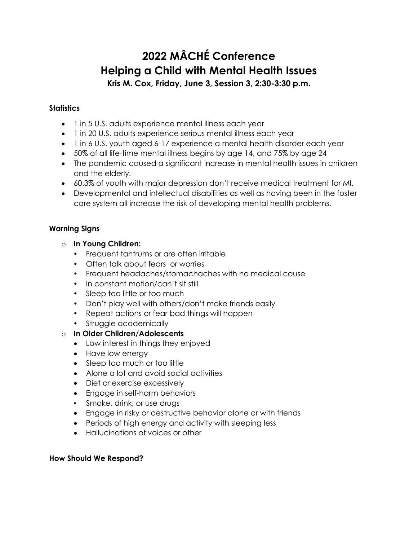# **2022 MÂCHÉ Conference Helping a Child with Mental Health Issues**

**Kris M. Cox, Friday, June 3, Session 3, 2:30-3:30 p.m.**

## **Statistics**

- [1 in 5](https://www.samhsa.gov/data/sites/default/files/reports/rpt35325/NSDUHFFRPDFWHTMLFiles2020/2020NSDUHFFR1PDFW102121.pdf) U.S. adults experience mental illness each year
- [1 in 20](https://www.samhsa.gov/data/sites/default/files/reports/rpt35325/NSDUHFFRPDFWHTMLFiles2020/2020NSDUHFFR1PDFW102121.pdf) U.S. adults experience serious mental illness each year
- [1 in 6](https://jamanetwork.com/journals/jamapediatrics/fullarticle/2724377?guestAccessKey=f689aa19-31f1-481d-878a-6bf83844536a) U.S. youth aged 6-17 experience a mental health disorder each year
- [50%](https://www.ncbi.nlm.nih.gov/pubmed/15939837) of all life-time mental illness begins by age 14, and 75% by age 24
- The pandemic caused a significant increase in mental health issues in children and the elderly.
- 60.3% of youth with major depression don't receive medical treatment for MI.
- Developmental and intellectual disabilities as well as having been in the foster care system all increase the risk of developing mental health problems.

# **Warning Signs**

- o **In Young Children:**
	- Frequent tantrums or are often irritable
	- Often talk about fears or worries
	- Frequent headaches/stomachaches with no medical cause
	- In constant motion/can't sit still
	- Sleep too little or too much
	- Don't play well with others/don't make friends easily
	- Repeat actions or fear bad things will happen
	- Struggle academically
- o **In Older Children/Adolescents**
	- Low interest in things they enjoyed
	- Have low energy
	- Sleep too much or too little
	- Alone a lot and avoid social activities
	- Diet or exercise excessively
	- Engage in self-harm behaviors
	- Smoke, drink, or use drugs
	- Engage in risky or destructive behavior alone or with friends
	- Periods of high energy and activity with sleeping less
	- Hallucinations of voices or other

## **How Should We Respond?**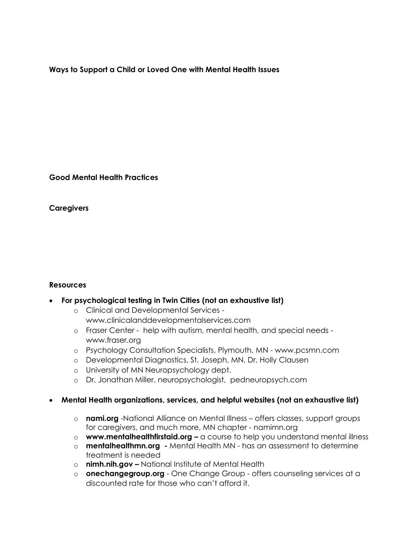**Ways to Support a Child or Loved One with Mental Health Issues**

**Good Mental Health Practices**

**Caregivers**

#### **Resources**

#### • **For psychological testing in Twin Cities (not an exhaustive list)**

- o Clinical and Developmental Services www.clinicalanddevelopmentalservices.com
- o Fraser Center help with autism, mental health, and special needs www.fraser.org
- o Psychology Consultation Specialists, Plymouth, MN www.pcsmn.com
- o Developmental Diagnostics, St. Joseph, MN, Dr. Holly Clausen
- o University of MN Neuropsychology dept.
- o Dr. Jonathan Miller, neuropsychologist, pedneuropsych.com

## • **Mental Health organizations, services, and helpful websites (not an exhaustive list)**

- o **nami.org** -National Alliance on Mental Illness offers classes, support groups for caregivers, and much more, MN chapter - namimn.org
- o **[www.mentalhealthfirstaid.org](http://www.mentalhealthfirstaid.org/) –** a course to help you understand mental illness
- o **mentalhealthmn.org -** Mental Health MN has an assessment to determine treatment is needed
- o **nimh.nih.gov –** National Institute of Mental Health
- o **[onechangegroup.org](https://onechangegroup.org/)** One Change Group offers counseling services at a discounted rate for those who can't afford it.